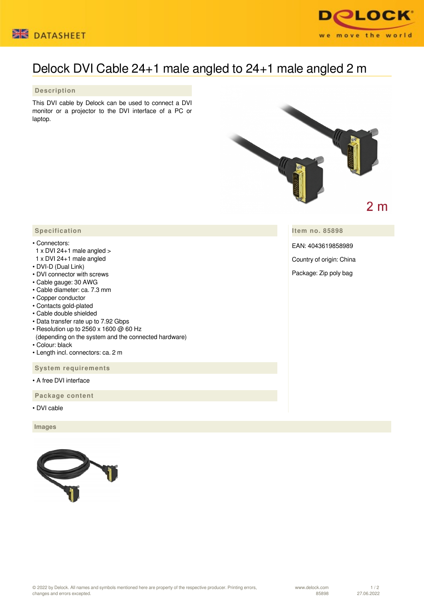



# Delock DVI Cable 24+1 male angled to 24+1 male angled 2 m

## **Description**

This DVI cable by Delock can be used to connect a DVI monitor or a projector to the DVI interface of a PC or laptop.



**Item no. 85898**

EAN: 4043619858989

Country of origin: China

Package: Zip poly bag

## **Specification**

### • Connectors:

- $1 \times$  DVI 24+1 male angled  $>$
- 1 x DVI 24+1 male angled
- DVI-D (Dual Link)
- DVI connector with screws
- Cable gauge: 30 AWG
- Cable diameter: ca. 7.3 mm
- Copper conductor
- Contacts gold-plated
- Cable double shielded
- Data transfer rate up to 7.92 Gbps
- Resolution up to 2560 x 1600 @ 60 Hz
- (depending on the system and the connected hardware)
- Colour: black
- Length incl. connectors: ca. 2 m

 **System requirements**

• A free DVI interface

 **Package content**

• DVI cable

 **Images**